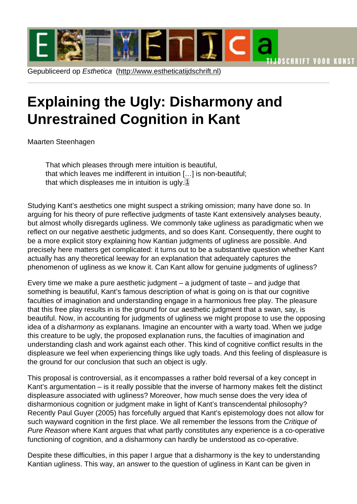# <span id="page-0-0"></span>Explaining the [Ugly: Disharmo](http://www.estheticatijdschrift.nl)ny and Unrestrained Cognition in Kant

Maarten Steenhagen

That which pleases through mere intuition is beautiful, that which leaves me indifferent in intuition […] is non-beautiful; that which displeases me in intuition is ugly. $1$ 

Studying Kant's aesthetics one might suspect a striking omission; many have done so. In arguing for his theory of pure reflective judgments of taste Kant extensively analyses beauty, but almost wholly disregards ugliness. We commonly take ugliness as paradigmatic when we reflect on our negative aesthetic judgments, and so does Kant. Consequently, there ought to be a more explicit story explaining how Kantian judgments of ugliness are possible. And precisely here matters get complicated: it turns out to be a substantive question whether Kant actually has any theoretical leeway for an explanation that adequately captures the phenomenon of ugliness as we know it. Can Kant allow for genuine judgments of ugliness?

Every time we make a pure aesthetic judgment – a judgment of taste – and judge that something is beautiful, Kant's famous description of what is going on is that our cognitive faculties of imagination and understanding engage in a harmonious free play. The pleasure that this free play results in is the ground for our aesthetic judgment that a swan, say, is beautiful. Now, in accounting for judgments of ugliness we might propose to use the opposing idea of a disharmony as explanans. Imagine an encounter with a warty toad. When we judge this creature to be ugly, the proposed explanation runs, the faculties of imagination and understanding clash and work against each other. This kind of cognitive conflict results in the displeasure we feel when experiencing things like ugly toads. And this feeling of displeasure is the ground for our conclusion that such an object is ugly.

This proposal is controversial, as it encompasses a rather bold reversal of a key concept in Kant's argumentation – is it really possible that the inverse of harmony makes felt the distinct displeasure associated with ugliness? Moreover, how much sense does the very idea of disharmonious cognition or judgment make in light of Kant's transcendental philosophy? Recently Paul Guyer (2005) has forcefully argued that Kant's epistemology does not allow for such wayward cognition in the first place. We all remember the lessons from the Critique of Pure Reason where Kant argues that what partly constitutes any experience is a co-operative functioning of cognition, and a disharmony can hardly be understood as co-operative.

Despite these difficulties, in this paper I argue that a disharmony is the key to understanding Kantian ugliness. This way, an answer to the question of ugliness in Kant can be given in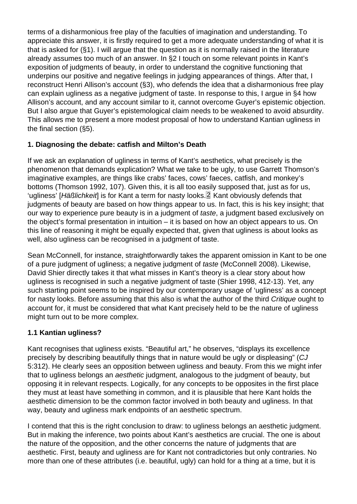<span id="page-1-0"></span>terms of a disharmonious free play of the faculties of imagination and understanding. To appreciate this answer, it is firstly required to get a more adequate understanding of what it is that is asked for (§1). I will argue that the question as it is normally raised in the literature already assumes too much of an answer. In §2 I touch on some relevant points in Kant's exposition of judgments of beauty, in order to understand the cognitive functioning that underpins our positive and negative feelings in judging appearances of things. After that, I reconstruct Henri Allison's account (§3), who defends the idea that a disharmonious free play can explain ugliness as a negative judgment of taste. In response to this, I argue in §4 how Allison's account, and any account similar to it, cannot overcome Guyer's epistemic objection. But I also argue that Guyer's epistemological claim needs to be weakened to avoid absurdity. This allows me to present a more modest proposal of how to understand Kantian ugliness in the final section (§5).

#### 1. Diagnosing the debate: catfish and Milton's Death

If we ask an explanation of ugliness in terms of Kant's aesthetics, what precisely is the phenomenon that demands explication? What we take to be ugly, to use Garrett Thomson's imaginative examples, are things like crabs' faces, cows' faeces, catfish, and monkey's bottoms (Thomson 1992, 107). Given this, it is all too easily supposed that, just as for us, 'ugliness' [Häßlichkeit] is for Kant a term for nasty looks. $2$  Kant obviously defends that judgments of beauty are based on how things appear to us. In fact, this is his key insight; that our way to experience pure beauty is in a judgment of taste, a judgment based exclusively on the object's formal presentation in intuition – it is based on how an object appears to us. On this line of reasoning it might be equally expected that, given that ugliness is about looks as well, also ugliness can be recognised in a judgment of taste.

Sean McConnell, for instance, straightforwardly takes the apparent omission in Kant to be one of a pure judgment of ugliness; a negative judgment of taste (McConnell 2008). Likewise, David Shier directly takes it that what misses in Kant's theory is a clear story about how ugliness is recognised in such a negative judgment of taste (Shier 1998, 412-13). Yet, any such starting point seems to be inspired by our contemporary usage of 'ugliness' as a concept for nasty looks. Before assuming that this also is what the author of the third Critique ought to account for, it must be considered that what Kant precisely held to be the nature of ugliness might turn out to be more complex.

#### 1.1 Kantian ugliness?

Kant recognises that ugliness exists. "Beautiful art," he observes, "displays its excellence precisely by describing beautifully things that in nature would be ugly or displeasing" (CJ 5:312). He clearly sees an opposition between ugliness and beauty. From this we might infer that to ugliness belongs an aesthetic judgment, analogous to the judgment of beauty, but opposing it in relevant respects. Logically, for any concepts to be opposites in the first place they must at least have something in common, and it is plausible that here Kant holds the aesthetic dimension to be the common factor involved in both beauty and ugliness. In that way, beauty and ugliness mark endpoints of an aesthetic spectrum.

I contend that this is the right conclusion to draw: to ugliness belongs an aesthetic judgment. But in making the inference, two points about Kant's aesthetics are crucial. The one is about the nature of the opposition, and the other concerns the nature of judgments that are aesthetic. First, beauty and ugliness are for Kant not contradictories but only contraries. No more than one of these attributes (i.e. beautiful, ugly) can hold for a thing at a time, but it is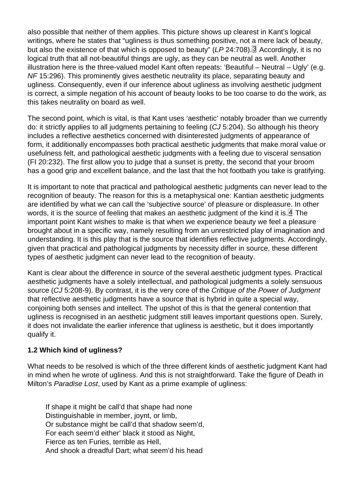<span id="page-2-0"></span>also possible that neither of them applies. This picture shows up clearest in Kant's logical writings, where he states that "ugliness is thus something positive, not a mere lack of beauty, but also the existence of that which is opposed to beauty" (LP 24:708).<sup>[3]</sup> Accordingly, it is no logical truth that all not-beautiful things are ugly, as they can be neutral as well. Another illustration here is the three-valued model Kant often repeats: 'Beautiful – Neutral – Ugly' (e.g. NF 15:296). This prominently gives aesthetic neutrality its place, separating beauty and ugliness. Consequently, even if our inference about ugliness as involving aesthetic judgment is correct, a simple negation of his account of beauty looks to be too coarse to do the work, as this takes neutrality on board as well.

The second point, which is vital, is that Kant uses 'aesthetic' notably broader than we currently do: it strictly applies to all judgments pertaining to feeling (CJ 5:204). So although his theory includes a reflective aesthetics concerned with disinterested judgments of appearance of form, it additionally encompasses both practical aesthetic judgments that make moral value or usefulness felt, and pathological aesthetic judgments with a feeling due to visceral sensation (FI 20:232). The first allow you to judge that a sunset is pretty, the second that your broom has a good grip and excellent balance, and the last that the hot footbath you take is gratifying.

It is important to note that practical and pathological aesthetic judgments can never lead to the recognition of beauty. The reason for this is a metaphysical one: Kantian aesthetic judgments are identified by what we can call the 'subjective source' of pleasure or displeasure. In other words, it is the source of feeling that makes an aesthetic judgment of the kind it is. $4$  The important point Kant wishes to make is that when we experience beauty we feel a pleasure brought about in a specific way, namely resulting from an unrestricted play of imagination and understanding. It is this play that is the source that identifies reflective judgments. Accordingly, given that practical and pathological judgments by necessity differ in source, these different types of aesthetic judgment can never lead to the recognition of beauty.

Kant is clear about the difference in source of the several aesthetic judgment types. Practical aesthetic judgments have a solely intellectual, and pathological judgments a solely sensuous source (CJ 5:208-9). By contrast, it is the very core of the Critique of the Power of Judgment that reflective aesthetic judgments have a source that is hybrid in quite a special way, conjoining both senses and intellect. The upshot of this is that the general contention that ugliness is recognised in an aesthetic judgment still leaves important questions open. Surely, it does not invalidate the earlier inference that ugliness is aesthetic, but it does importantly qualify it.

#### 1.2 Which kind of ugliness?

What needs to be resolved is which of the three different kinds of aesthetic judgment Kant had in mind when he wrote of ugliness. And this is not straightforward. Take the figure of Death in Milton's Paradise Lost, used by Kant as a prime example of ugliness:

If shape it might be call'd that shape had none Distinguishable in member, joynt, or limb, Or substance might be call'd that shadow seem'd, For each seem'd either' black it stood as Night, Fierce as ten Furies, terrible as Hell, And shook a dreadful Dart; what seem'd his head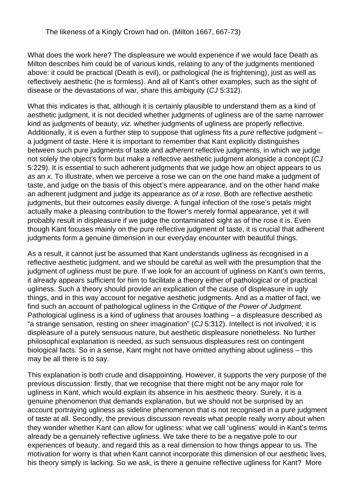What does the work here? The displeasure we would experience if we would face Death as Milton describes him could be of various kinds, relating to any of the judgments mentioned above: it could be practical (Death is evil), or pathological (he is frightening), just as well as reflectively aesthetic (he is formless). And all of Kant's other examples, such as the sight of disease or the devastations of war, share this ambiguity (CJ 5:312).

What this indicates is that, although it is certainly plausible to understand them as a kind of aesthetic judgment, it is not decided whether judgments of ugliness are of the same narrower kind as judgments of beauty, viz. whether judgments of ugliness are properly reflective. Additionally, it is even a further step to suppose that ugliness fits a *pure* reflective judgment – a judgment of taste. Here it is important to remember that Kant explicitly distinguishes between such pure judgments of taste and adherent reflective judgments, in which we judge not solely the object's form but make a reflective aesthetic judgment alongside a concept (CJ 5:229). It is essential to such adherent judgments that we judge how an object appears to us as an x. To illustrate, when we perceive a rose we can on the one hand make a judgment of taste, and judge on the basis of this object's mere appearance, and on the other hand make an adherent judgment and judge its appearance as of a rose. Both are reflective aesthetic judgments, but their outcomes easily diverge. A fungal infection of the rose's petals might actually make a pleasing contribution to the flower's merely formal appearance, yet it will probably result in displeasure if we judge the contaminated sight as of the rose it is. Even though Kant focuses mainly on the pure reflective judgment of taste, it is crucial that adherent judgments form a genuine dimension in our everyday encounter with beautiful things.

As a result, it cannot just be assumed that Kant understands ugliness as recognised in a reflective aesthetic judgment, and we should be careful as well with the presumption that the judgment of ugliness must be pure. If we look for an account of ugliness on Kant's own terms, it already appears sufficient for him to facilitate a theory either of pathological or of practical ugliness. Such a theory should provide an explication of the cause of displeasure in ugly things, and in this way account for negative aesthetic judgments. And as a matter of fact, we find such an account of pathological ugliness in the Critique of the Power of Judgment. Pathological ugliness is a kind of ugliness that arouses loathing – a displeasure described as "a strange sensation, resting on sheer imagination" (CJ 5:312). Intellect is not involved; it is displeasure of a purely sensuous nature, but aesthetic displeasure nonetheless. No further philosophical explanation is needed, as such sensuous displeasures rest on contingent biological facts. So in a sense, Kant might not have omitted anything about ugliness – this may be all there is to say.

This explanation is both crude and disappointing. However, it supports the very purpose of the previous discussion: firstly, that we recognise that there might not be any major role for ugliness in Kant, which would explain its absence in his aesthetic theory. Surely, it is a genuine phenomenon that demands explanation, but we should not be surprised by an account portraying ugliness as sideline phenomenon that is not recognised in a pure judgment of taste at all. Secondly, the previous discussion reveals what people really worry about when they wonder whether Kant can allow for ugliness: what we call 'ugliness' would in Kant's terms already be a genuinely reflective ugliness. We take there to be a negative pole to our experiences of beauty, and regard this as a real dimension to how things appear to us. The motivation for worry is that when Kant cannot incorporate this dimension of our aesthetic lives, his theory simply is lacking. So we ask, is there a genuine reflective ugliness for Kant? More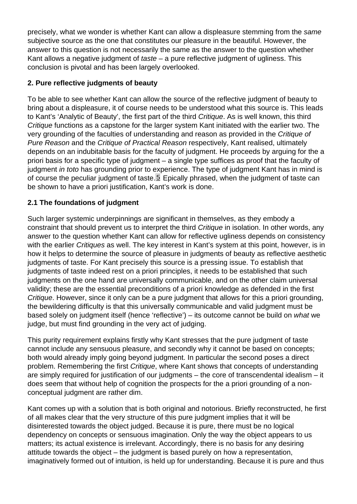<span id="page-4-0"></span>precisely, what we wonder is whether Kant can allow a displeasure stemming from the same subjective source as the one that constitutes our pleasure in the beautiful. However, the answer to this question is not necessarily the same as the answer to the question whether Kant allows a negative judgment of taste – a pure reflective judgment of ugliness. This conclusion is pivotal and has been largely overlooked.

#### 2. Pure reflective judgments of beauty

To be able to see whether Kant can allow the source of the reflective judgment of beauty to bring about a displeasure, it of course needs to be understood what this source is. This leads to Kant's 'Analytic of Beauty', the first part of the third Critique. As is well known, this third Critique functions as a capstone for the larger system Kant initiated with the earlier two. The very grounding of the faculties of understanding and reason as provided in the Critique of Pure Reason and the Critique of Practical Reason respectively, Kant realised, ultimately depends on an indubitable basis for the faculty of judgment. He proceeds by arguing for the a priori basis for a specific type of judgment – a single type suffices as proof that the faculty of judgment in toto has grounding prior to experience. The type of judgment Kant has in mind is of course the peculiar judgment of taste.<sup>[5]</sup> Epically phrased, when the judgment of taste can be shown to have a priori justification, Kant's work is done.

#### 2.1 The foundations of judgment

Such larger systemic underpinnings are significant in themselves, as they embody a constraint that should prevent us to interpret the third Critique in isolation. In other words, any answer to the question whether Kant can allow for reflective ugliness depends on consistency with the earlier Critiques as well. The key interest in Kant's system at this point, however, is in how it helps to determine the source of pleasure in judgments of beauty as reflective aesthetic judgments of taste. For Kant precisely this source is a pressing issue. To establish that judgments of taste indeed rest on a priori principles, it needs to be established that such judgments on the one hand are universally communicable, and on the other claim universal validity; these are the essential preconditions of a priori knowledge as defended in the first Critique. However, since it only can be a pure judgment that allows for this a priori grounding, the bewildering difficulty is that this universally communicable and valid judgment must be based solely on judgment itself (hence 'reflective') – its outcome cannot be build on what we judge, but must find grounding in the very act of judging.

This purity requirement explains firstly why Kant stresses that the pure judgment of taste cannot include any sensuous pleasure, and secondly why it cannot be based on concepts; both would already imply going beyond judgment. In particular the second poses a direct problem. Remembering the first Critique, where Kant shows that concepts of understanding are simply required for justification of our judgments – the core of transcendental idealism – it does seem that without help of cognition the prospects for the a priori grounding of a nonconceptual judgment are rather dim.

Kant comes up with a solution that is both original and notorious. Briefly reconstructed, he first of all makes clear that the very structure of this pure judgment implies that it will be disinterested towards the object judged. Because it is pure, there must be no logical dependency on concepts or sensuous imagination. Only the way the object appears to us matters; its actual existence is irrelevant. Accordingly, there is no basis for any desiring attitude towards the object – the judgment is based purely on how a representation, imaginatively formed out of intuition, is held up for understanding. Because it is pure and thus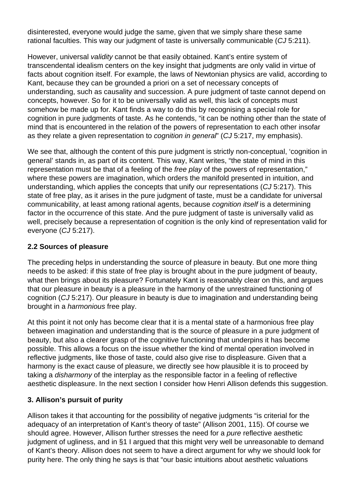disinterested, everyone would judge the same, given that we simply share these same rational faculties. This way our judgment of taste is universally communicable (CJ 5:211).

However, universal validity cannot be that easily obtained. Kant's entire system of transcendental idealism centers on the key insight that judgments are only valid in virtue of facts about cognition itself. For example, the laws of Newtonian physics are valid, according to Kant, because they can be grounded a priori on a set of necessary concepts of understanding, such as causality and succession. A pure judgment of taste cannot depend on concepts, however. So for it to be universally valid as well, this lack of concepts must somehow be made up for. Kant finds a way to do this by recognising a special role for cognition in pure judgments of taste. As he contends, "it can be nothing other than the state of mind that is encountered in the relation of the powers of representation to each other insofar as they relate a given representation to *cognition in general*" (CJ 5:217, my emphasis).

We see that, although the content of this pure judgment is strictly non-conceptual, 'cognition in general' stands in, as part of its content. This way, Kant writes, "the state of mind in this representation must be that of a feeling of the free play of the powers of representation," where these powers are imagination, which orders the manifold presented in intuition, and understanding, which applies the concepts that unify our representations (CJ 5:217). This state of free play, as it arises in the pure judgment of taste, must be a candidate for universal communicability, at least among rational agents, because cognition itself is a determining factor in the occurrence of this state. And the pure judgment of taste is universally valid as well, precisely because a representation of cognition is the only kind of representation valid for everyone (CJ 5:217).

## **2.2 Sources of pleasure**

The preceding helps in understanding the source of pleasure in beauty. But one more thing needs to be asked: if this state of free play is brought about in the pure judgment of beauty, what then brings about its pleasure? Fortunately Kant is reasonably clear on this, and argues that our pleasure in beauty is a pleasure in the harmony of the unrestrained functioning of cognition (CJ 5:217). Our pleasure in beauty is due to imagination and understanding being brought in a harmonious free play.

At this point it not only has become clear that it is a mental state of a harmonious free play between imagination and understanding that is the source of pleasure in a pure judgment of beauty, but also a clearer grasp of the cognitive functioning that underpins it has become possible. This allows a focus on the issue whether the kind of mental operation involved in reflective judgments, like those of taste, could also give rise to displeasure. Given that a harmony is the exact cause of pleasure, we directly see how plausible it is to proceed by taking a disharmony of the interplay as the responsible factor in a feeling of reflective aesthetic displeasure. In the next section I consider how Henri Allison defends this suggestion.

# **3. Allison's pursuit of purity**

Allison takes it that accounting for the possibility of negative judgments "is criterial for the adequacy of an interpretation of Kant's theory of taste" (Allison 2001, 115). Of course we should agree. However, Allison further stresses the need for a *pure* reflective aesthetic judgment of ugliness, and in §1 I argued that this might very well be unreasonable to demand of Kant's theory. Allison does not seem to have a direct argument for why we should look for purity here. The only thing he says is that "our basic intuitions about aesthetic valuations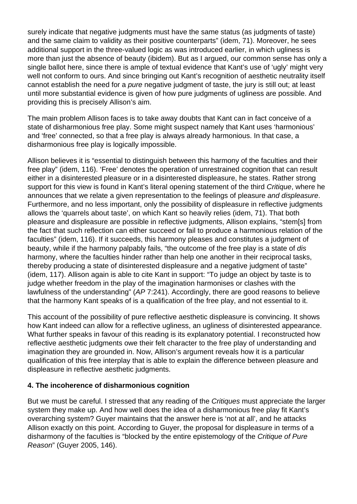surely indicate that negative judgments must have the same status (as judgments of taste) and the same claim to validity as their positive counterparts" (idem, 71). Moreover, he sees additional support in the three-valued logic as was introduced earlier, in which ugliness is more than just the absence of beauty (ibidem). But as I argued, our common sense has only a single ballot here, since there is ample of textual evidence that Kant's use of 'ugly' might very well not conform to ours. And since bringing out Kant's recognition of aesthetic neutrality itself cannot establish the need for a pure negative judgment of taste, the jury is still out; at least until more substantial evidence is given of how pure judgments of ugliness are possible. And providing this is precisely Allison's aim.

The main problem Allison faces is to take away doubts that Kant can in fact conceive of a state of disharmonious free play. Some might suspect namely that Kant uses 'harmonious' and 'free' connected, so that a free play is always already harmonious. In that case, a disharmonious free play is logically impossible.

Allison believes it is "essential to distinguish between this harmony of the faculties and their free play" (idem, 116). 'Free' denotes the operation of unrestrained cognition that can result either in a disinterested pleasure or in a disinterested displeasure, he states. Rather strong support for this view is found in Kant's literal opening statement of the third Critique, where he announces that we relate a given representation to the feelings of pleasure and displeasure. Furthermore, and no less important, only the possibility of displeasure in reflective judgments allows the 'quarrels about taste', on which Kant so heavily relies (idem, 71). That both pleasure and displeasure are possible in reflective judgments, Allison explains, "stem[s] from the fact that such reflection can either succeed or fail to produce a harmonious relation of the faculties" (idem, 116). If it succeeds, this harmony pleases and constitutes a judgment of beauty, while if the harmony palpably fails, "the outcome of the free play is a state of dis harmony, where the faculties hinder rather than help one another in their reciprocal tasks, thereby producing a state of disinterested displeasure and a negative judgment of taste" (idem, 117). Allison again is able to cite Kant in support: "To judge an object by taste is to judge whether freedom in the play of the imagination harmonises or clashes with the lawfulness of the understanding" (AP 7:241). Accordingly, there are good reasons to believe that the harmony Kant speaks of is a qualification of the free play, and not essential to it.

This account of the possibility of pure reflective aesthetic displeasure is convincing. It shows how Kant indeed can allow for a reflective ugliness, an ugliness of disinterested appearance. What further speaks in favour of this reading is its explanatory potential. I reconstructed how reflective aesthetic judgments owe their felt character to the free play of understanding and imagination they are grounded in. Now, Allison's argument reveals how it is a particular qualification of this free interplay that is able to explain the difference between pleasure and displeasure in reflective aesthetic judgments.

## **4. The incoherence of disharmonious cognition**

But we must be careful. I stressed that any reading of the *Critiques* must appreciate the larger system they make up. And how well does the idea of a disharmonious free play fit Kant's overarching system? Guyer maintains that the answer here is 'not at all', and he attacks Allison exactly on this point. According to Guyer, the proposal for displeasure in terms of a disharmony of the faculties is "blocked by the entire epistemology of the Critique of Pure Reason" (Guyer 2005, 146).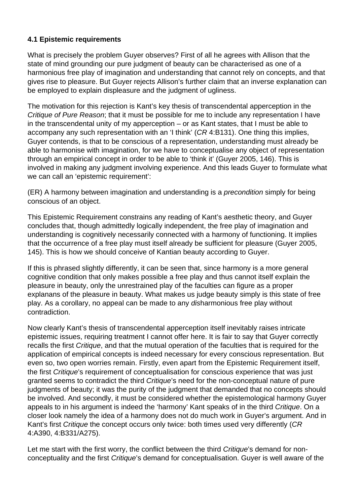## **4.1 Epistemic requirements**

What is precisely the problem Guyer observes? First of all he agrees with Allison that the state of mind grounding our pure judgment of beauty can be characterised as one of a harmonious free play of imagination and understanding that cannot rely on concepts, and that gives rise to pleasure. But Guyer rejects Allison's further claim that an inverse explanation can be employed to explain displeasure and the judgment of ugliness.

The motivation for this rejection is Kant's key thesis of transcendental apperception in the Critique of Pure Reason; that it must be possible for me to include any representation I have in the transcendental unity of my apperception – or as Kant states, that I must be able to accompany any such representation with an 'I think' (CR 4:B131). One thing this implies, Guyer contends, is that to be conscious of a representation, understanding must already be able to harmonise with imagination, for we have to conceptualise any object of representation through an empirical concept in order to be able to 'think it' (Guyer 2005, 146). This is involved in making any judgment involving experience. And this leads Guyer to formulate what we can call an 'epistemic requirement':

(ER) A harmony between imagination and understanding is a precondition simply for being conscious of an object.

This Epistemic Requirement constrains any reading of Kant's aesthetic theory, and Guyer concludes that, though admittedly logically independent, the free play of imagination and understanding is cognitively necessarily connected with a harmony of functioning. It implies that the occurrence of a free play must itself already be sufficient for pleasure (Guyer 2005, 145). This is how we should conceive of Kantian beauty according to Guyer.

If this is phrased slightly differently, it can be seen that, since harmony is a more general cognitive condition that only makes possible a free play and thus cannot itself explain the pleasure in beauty, only the unrestrained play of the faculties can figure as a proper explanans of the pleasure in beauty. What makes us judge beauty simply is this state of free play. As a corollary, no appeal can be made to any disharmonious free play without contradiction.

Now clearly Kant's thesis of transcendental apperception itself inevitably raises intricate epistemic issues, requiring treatment I cannot offer here. It is fair to say that Guyer correctly recalls the first Critique, and that the mutual operation of the faculties that is required for the application of empirical concepts is indeed necessary for every conscious representation. But even so, two open worries remain. Firstly, even apart from the Epistemic Requirement itself, the first Critique's requirement of conceptualisation for conscious experience that was just granted seems to contradict the third Critique's need for the non-conceptual nature of pure judgments of beauty; it was the purity of the judgment that demanded that no concepts should be involved. And secondly, it must be considered whether the epistemological harmony Guyer appeals to in his argument is indeed the 'harmony' Kant speaks of in the third Critique. On a closer look namely the idea of a harmony does not do much work in Guyer's argument. And in Kant's first Critique the concept occurs only twice: both times used very differently (CR 4:A390, 4:B331/A275).

Let me start with the first worry, the conflict between the third Critique's demand for nonconceptuality and the first Critique's demand for conceptualisation. Guyer is well aware of the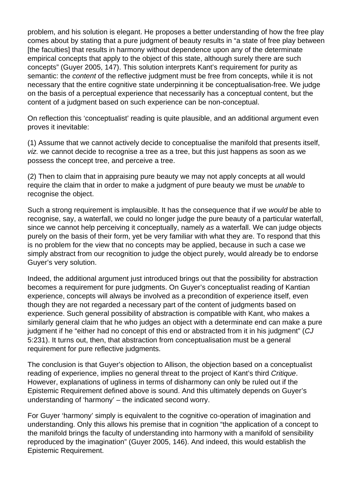problem, and his solution is elegant. He proposes a better understanding of how the free play comes about by stating that a pure judgment of beauty results in "a state of free play between [the faculties] that results in harmony without dependence upon any of the determinate empirical concepts that apply to the object of this state, although surely there are such concepts" (Guyer 2005, 147). This solution interprets Kant's requirement for purity as semantic: the content of the reflective judgment must be free from concepts, while it is not necessary that the entire cognitive state underpinning it be conceptualisation-free. We judge on the basis of a perceptual experience that necessarily has a conceptual content, but the content of a judgment based on such experience can be non-conceptual.

On reflection this 'conceptualist' reading is quite plausible, and an additional argument even proves it inevitable:

(1) Assume that we cannot actively decide to conceptualise the manifold that presents itself, viz. we cannot decide to recognise a tree as a tree, but this just happens as soon as we possess the concept tree, and perceive a tree.

(2) Then to claim that in appraising pure beauty we may not apply concepts at all would require the claim that in order to make a judgment of pure beauty we must be unable to recognise the object.

Such a strong requirement is implausible. It has the consequence that if we would be able to recognise, say, a waterfall, we could no longer judge the pure beauty of a particular waterfall, since we cannot help perceiving it conceptually, namely as a waterfall. We can judge objects purely on the basis of their form, yet be very familiar with what they are. To respond that this is no problem for the view that no concepts may be applied, because in such a case we simply abstract from our recognition to judge the object purely, would already be to endorse Guyer's very solution.

Indeed, the additional argument just introduced brings out that the possibility for abstraction becomes a requirement for pure judgments. On Guyer's conceptualist reading of Kantian experience, concepts will always be involved as a precondition of experience itself, even though they are not regarded a necessary part of the content of judgments based on experience. Such general possibility of abstraction is compatible with Kant, who makes a similarly general claim that he who judges an object with a determinate end can make a pure judgment if he "either had no concept of this end or abstracted from it in his judgment" (CJ 5:231). It turns out, then, that abstraction from conceptualisation must be a general requirement for pure reflective judgments.

The conclusion is that Guyer's objection to Allison, the objection based on a conceptualist reading of experience, implies no general threat to the project of Kant's third Critique. However, explanations of ugliness in terms of disharmony can only be ruled out if the Epistemic Requirement defined above is sound. And this ultimately depends on Guyer's understanding of 'harmony' – the indicated second worry.

For Guyer 'harmony' simply is equivalent to the cognitive co-operation of imagination and understanding. Only this allows his premise that in cognition "the application of a concept to the manifold brings the faculty of understanding into harmony with a manifold of sensibility reproduced by the imagination" (Guyer 2005, 146). And indeed, this would establish the Epistemic Requirement.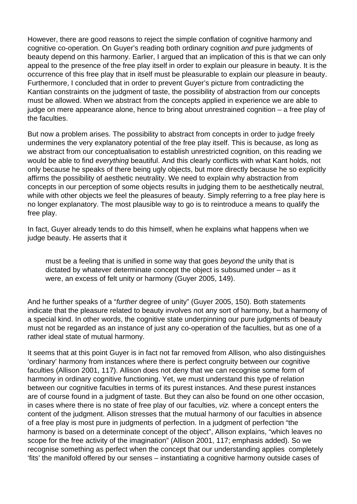However, there are good reasons to reject the simple conflation of cognitive harmony and cognitive co-operation. On Guyer's reading both ordinary cognition and pure judgments of beauty depend on this harmony. Earlier, I argued that an implication of this is that we can only appeal to the presence of the free play itself in order to explain our pleasure in beauty. It is the occurrence of this free play that in itself must be pleasurable to explain our pleasure in beauty. Furthermore, I concluded that in order to prevent Guyer's picture from contradicting the Kantian constraints on the judgment of taste, the possibility of abstraction from our concepts must be allowed. When we abstract from the concepts applied in experience we are able to judge on mere appearance alone, hence to bring about unrestrained cognition – a free play of the faculties.

But now a problem arises. The possibility to abstract from concepts in order to judge freely undermines the very explanatory potential of the free play itself. This is because, as long as we abstract from our conceptualisation to establish unrestricted cognition, on this reading we would be able to find everything beautiful. And this clearly conflicts with what Kant holds, not only because he speaks of there being ugly objects, but more directly because he so explicitly affirms the possibility of aesthetic neutrality. We need to explain why abstraction from concepts in our perception of some objects results in judging them to be aesthetically neutral, while with other objects we feel the pleasures of beauty. Simply referring to a free play here is no longer explanatory. The most plausible way to go is to reintroduce a means to qualify the free play.

In fact, Guyer already tends to do this himself, when he explains what happens when we judge beauty. He asserts that it

must be a feeling that is unified in some way that goes beyond the unity that is dictated by whatever determinate concept the object is subsumed under – as it were, an excess of felt unity or harmony (Guyer 2005, 149).

And he further speaks of a "further degree of unity" (Guyer 2005, 150). Both statements indicate that the pleasure related to beauty involves not any sort of harmony, but a harmony of a special kind. In other words, the cognitive state underpinning our pure judgments of beauty must not be regarded as an instance of just any co-operation of the faculties, but as one of a rather ideal state of mutual harmony.

It seems that at this point Guyer is in fact not far removed from Allison, who also distinguishes 'ordinary' harmony from instances where there is perfect congruity between our cognitive faculties (Allison 2001, 117). Allison does not deny that we can recognise some form of harmony in ordinary cognitive functioning. Yet, we must understand this type of relation between our cognitive faculties in terms of its purest instances. And these purest instances are of course found in a judgment of taste. But they can also be found on one other occasion, in cases where there is no state of free play of our faculties, viz. where a concept enters the content of the judgment. Allison stresses that the mutual harmony of our faculties in absence of a free play is most pure in judgments of perfection. In a judgment of perfection "the harmony is based on a determinate concept of the object", Allison explains, "which leaves no scope for the free activity of the imagination" (Allison 2001, 117; emphasis added). So we recognise something as perfect when the concept that our understanding applies completely 'fits' the manifold offered by our senses – instantiating a cognitive harmony outside cases of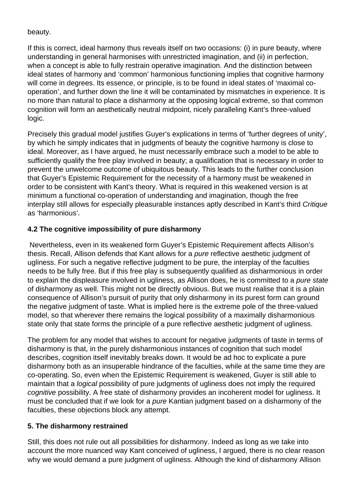#### beauty.

If this is correct, ideal harmony thus reveals itself on two occasions: (i) in pure beauty, where understanding in general harmonises with unrestricted imagination, and (ii) in perfection, when a concept is able to fully restrain operative imagination. And the distinction between ideal states of harmony and 'common' harmonious functioning implies that cognitive harmony will come in degrees. Its essence, or principle, is to be found in ideal states of 'maximal cooperation', and further down the line it will be contaminated by mismatches in experience. It is no more than natural to place a disharmony at the opposing logical extreme, so that common cognition will form an aesthetically neutral midpoint, nicely paralleling Kant's three-valued logic.

Precisely this gradual model justifies Guyer's explications in terms of 'further degrees of unity', by which he simply indicates that in judgments of beauty the cognitive harmony is close to ideal. Moreover, as I have argued, he must necessarily embrace such a model to be able to sufficiently qualify the free play involved in beauty; a qualification that is necessary in order to prevent the unwelcome outcome of ubiquitous beauty. This leads to the further conclusion that Guyer's Epistemic Requirement for the necessity of a harmony must be weakened in order to be consistent with Kant's theory. What is required in this weakened version is at minimum a functional co-operation of understanding and imagination, though the free interplay still allows for especially pleasurable instances aptly described in Kant's third Critique as 'harmonious'.

## **4.2 The cognitive impossibility of pure disharmony**

Nevertheless, even in its weakened form Guyer's Epistemic Requirement affects Allison's thesis. Recall, Allison defends that Kant allows for a pure reflective aesthetic judgment of ugliness. For such a negative reflective judgment to be pure, the interplay of the faculties needs to be fully free. But if this free play is subsequently qualified as disharmonious in order to explain the displeasure involved in ugliness, as Allison does, he is committed to a *pure state* of disharmony as well. This might not be directly obvious. But we must realise that it is a plain consequence of Allison's pursuit of purity that only disharmony in its purest form can ground the negative judgment of taste. What is implied here is the extreme pole of the three-valued model, so that wherever there remains the logical possibility of a maximally disharmonious state only that state forms the principle of a pure reflective aesthetic judgment of ugliness.

The problem for any model that wishes to account for negative judgments of taste in terms of disharmony is that, in the purely disharmonious instances of cognition that such model describes, cognition itself inevitably breaks down. It would be ad hoc to explicate a pure disharmony both as an insuperable hindrance of the faculties, while at the same time they are co-operating. So, even when the Epistemic Requirement is weakened, Guyer is still able to maintain that a logical possibility of pure judgments of ugliness does not imply the required cognitive possibility. A free state of disharmony provides an incoherent model for ugliness. It must be concluded that if we look for a *pure* Kantian judgment based on a disharmony of the faculties, these objections block any attempt.

## **5. The disharmony restrained**

Still, this does not rule out all possibilities for disharmony. Indeed as long as we take into account the more nuanced way Kant conceived of ugliness, I argued, there is no clear reason why we would demand a pure judgment of ugliness. Although the kind of disharmony Allison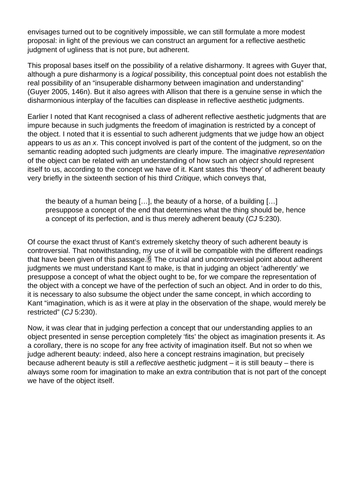<span id="page-11-0"></span>envisages turned out to be cognitively impossible, we can still formulate a more modest proposal: in light of the previous we can construct an argument for a reflective aesthetic judgment of ugliness that is not pure, but adherent.

This proposal bases itself on the possibility of a relative disharmony. It agrees with Guyer that, although a pure disharmony is a logical possibility, this conceptual point does not establish the real possibility of an "insuperable disharmony between imagination and understanding" (Guyer 2005, 146n). But it also agrees with Allison that there is a genuine sense in which the disharmonious interplay of the faculties can displease in reflective aesthetic judgments.

Earlier I noted that Kant recognised a class of adherent reflective aesthetic judgments that are impure because in such judgments the freedom of imagination is restricted by a concept of the object. I noted that it is essential to such adherent judgments that we judge how an object appears to us as an x. This concept involved is part of the content of the judgment, so on the semantic reading adopted such judgments are clearly impure. The imaginative representation of the object can be related with an understanding of how such an object should represent itself to us, according to the concept we have of it. Kant states this 'theory' of adherent beauty very briefly in the sixteenth section of his third Critique, which conveys that,

the beauty of a human being […], the beauty of a horse, of a building […] presuppose a concept of the end that determines what the thing should be, hence a concept of its perfection, and is thus merely adherent beauty (CJ 5:230).

Of course the exact thrust of Kant's extremely sketchy theory of such adherent beauty is controversial. That notwithstanding, my use of it will be compatible with the different readings that have been given of this passage.  $6$  The crucial and uncontroversial point about adherent judgments we must understand Kant to make, is that in judging an object 'adherently' we presuppose a concept of what the object ought to be, for we compare the representation of the object with a concept we have of the perfection of such an object. And in order to do this, it is necessary to also subsume the object under the same concept, in which according to Kant "imagination, which is as it were at play in the observation of the shape, would merely be restricted" (CJ 5:230).

Now, it was clear that in judging perfection a concept that our understanding applies to an object presented in sense perception completely 'fits' the object as imagination presents it. As a corollary, there is no scope for any free activity of imagination itself. But not so when we judge adherent beauty: indeed, also here a concept restrains imagination, but precisely because adherent beauty is still a reflective aesthetic judgment – it is still beauty – there is always some room for imagination to make an extra contribution that is not part of the concept we have of the object itself.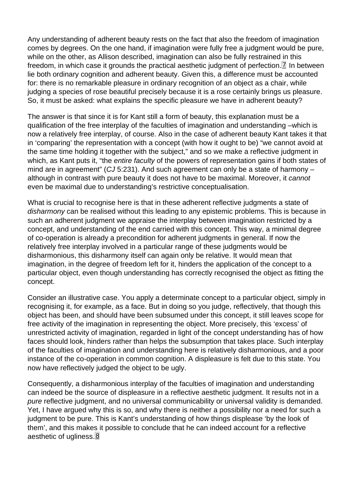<span id="page-12-0"></span>Any understanding of adherent beauty rests on the fact that also the freedom of imagination comes by degrees. On the one hand, if imagination were fully free a judgment would be pure, while on the other, as Allison described, imagination can also be fully restrained in this freedom, in which case it grounds the practical aesthetic judgment of perfection.<sup>[7]</sup> In between lie both ordinary cognition and adherent beauty. Given this, a difference must be accounted for: there is no remarkable pleasure in ordinary recognition of an object as a chair, while judging a species of rose beautiful precisely because it is a rose certainly brings us pleasure. So, it must be asked: what explains the specific pleasure we have in adherent beauty?

The answer is that since it is for Kant still a form of beauty, this explanation must be a qualification of the free interplay of the faculties of imagination and understanding –which is now a relatively free interplay, of course. Also in the case of adherent beauty Kant takes it that in 'comparing' the representation with a concept (with how it ought to be) "we cannot avoid at the same time holding it together with the subject," and so we make a reflective judgment in which, as Kant puts it, "the entire faculty of the powers of representation gains if both states of mind are in agreement" (CJ 5:231). And such agreement can only be a state of harmony  $$ although in contrast with pure beauty it does not have to be maximal. Moreover, it cannot even be maximal due to understanding's restrictive conceptualisation.

What is crucial to recognise here is that in these adherent reflective judgments a state of disharmony can be realised without this leading to any epistemic problems. This is because in such an adherent judgment we appraise the interplay between imagination restricted by a concept, and understanding of the end carried with this concept. This way, a minimal degree of co-operation is already a precondition for adherent judgments in general. If now the relatively free interplay involved in a particular range of these judgments would be disharmonious, this disharmony itself can again only be relative. It would mean that imagination, in the degree of freedom left for it, hinders the application of the concept to a particular object, even though understanding has correctly recognised the object as fitting the concept.

Consider an illustrative case. You apply a determinate concept to a particular object, simply in recognising it, for example, as a face. But in doing so you judge, reflectively, that though this object has been, and should have been subsumed under this concept, it still leaves scope for free activity of the imagination in representing the object. More precisely, this 'excess' of unrestricted activity of imagination, regarded in light of the concept understanding has of how faces should look, hinders rather than helps the subsumption that takes place. Such interplay of the faculties of imagination and understanding here is relatively disharmonious, and a poor instance of the co-operation in common cognition. A displeasure is felt due to this state. You now have reflectively judged the object to be ugly.

Consequently, a disharmonious interplay of the faculties of imagination and understanding can indeed be the source of displeasure in a reflective aesthetic judgment. It results not in a pure reflective judgment, and no universal communicability or universal validity is demanded. Yet, I have argued why this is so, and why there is neither a possibility nor a need for such a judgment to be pure. This is Kant's understanding of how things displease 'by the look of them', and this makes it possible to conclude that he can indeed account for a reflective aesthetic of ugliness.<sup>8</sup>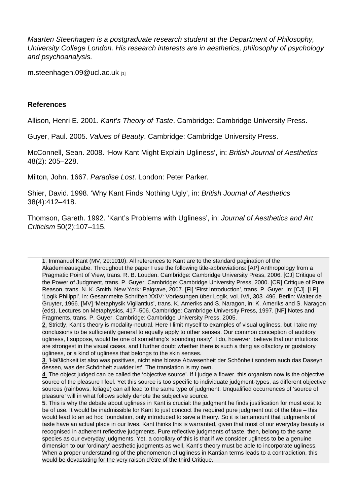Maarten Steenhagen is a postgraduate research student at the Department of Philosophy, University College London. His research interests are in aesthetics, philosophy of psychology and psychoanalysis.

m.steenhagen.09@ucl.ac.uk [1]

#### [References](mailto:m.steenhagen.09@ucl.ac.uk)

Allison, Henri E. 2001. Kant's Theory of Taste. Cambridge: Cambridge University Press.

Guyer, Paul. 2005. Values of Beauty. Cambridge: Cambridge University Press.

McConnell, Sean. 2008. 'How Kant Might Explain Ugliness', in: British Journal of Aesthetics 48(2): 205–228.

Milton, John. 1667. Paradise Lost. London: Peter Parker.

Shier, David. 1998. 'Why Kant Finds Nothing Ugly', in: British Journal of Aesthetics 38(4):412–418.

Thomson, Gareth. 1992. 'Kant's Problems with Ugliness', in: Journal of Aesthetics and Art Criticism 50(2):107–115.

1. Immanuel Kant (MV, 29:1010). All references to Kant are to the standard pagination of the Akademieausgabe. Throughout the paper I use the following title-abbreviations: [AP] Anthropology from a Pragmatic Point of View, trans. R. B. Louden. Cambridge: Cambridge University Press, 2006. [CJ] Critique of the Power of Judgment, trans. P. Guyer. Cambridge: Cambridge University Press, 2000. [CR] Critique of Pure [Re](#page-0-0)ason, trans. N. K. Smith. New York: Palgrave, 2007. [FI] 'First Introduction', trans. P. Guyer, in: [CJ]. [LP] 'Logik Philippi', in: Gesammelte Schriften XXIV: Vorlesungen über Logik, vol. IV/I, 303–496. Berlin: Walter de Gruyter, 1966. [MV] 'Metaphysik Vigilantius', trans. K. Ameriks and S. Naragon, in: K. Ameriks and S. Naragon (eds), Lectures on Metaphysics, 417–506. Cambridge: Cambridge University Press, 1997. [NF] Notes and Fragments, trans. P. Guyer. Cambridge: Cambridge University Press, 2005.

2. Strictly, Kant's theory is modality-neutral. Here I limit myself to examples of visual ugliness, but I take my 2. conclusions to be sufficiently general to equally apply to other senses. Our common conception of auditory ugliness, I suppose, would be one of something's 'sounding nasty'. I do, however, believe that our intuitions are strongest in the visual cases, and I further doubt whether there is such a thing as olfactory or gustatory [ug](#page-1-0)liness, or a kind of ugliness that belongs to the skin senses.

3. 'Häßlichkeit ist also was positives, nicht eine blosse Abwesenheit der Schönheit sondern auch das Daseyn 3. dessen, was der Schönheit zuwider ist'. The translation is my own.

4. The object judged can be called the 'objective source'. If I judge a flower, this organism now is the objective source of the pleasure I feel. Yet this source is too specific to individuate judgment-types, as different objective [so](#page-2-0)urces (rainbows, foliage) can all lead to the same type of judgment. Unqualified occurrences of 'source of pleasure' will in what follows solely denote the subjective source.

[5.](#page-2-0) This is why the debate about ugliness in Kant is crucial: the judgment he finds justification for must exist to 5.be of use. It would be inadmissible for Kant to just concoct the required pure judgment out of the blue – this would lead to an ad hoc foundation, only introduced to save a theory. So it is tantamount that judgments of taste have an actual place in our lives. Kant thinks this is warranted, given that most of our everyday beauty is [re](#page-4-0)cognised in adherent reflective judgments. Pure reflective judgments of taste, then, belong to the same species as our everyday judgments. Yet, a corollary of this is that if we consider ugliness to be a genuine dimension to our 'ordinary' aesthetic judgments as well, Kant's theory must be able to incorporate ugliness. When a proper understanding of the phenomenon of ugliness in Kantian terms leads to a contradiction, this would be devastating for the very raison d'être of the third Critique.